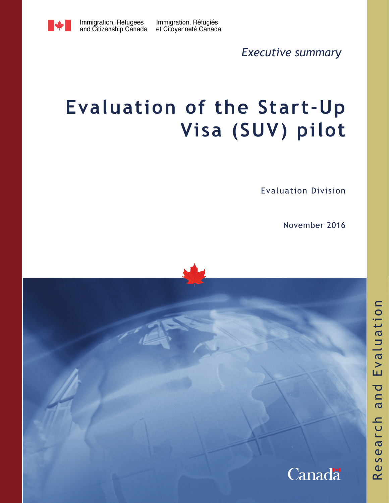Immigration, Réfugiés et Citoyenneté Canada

*Executive summary*

# **Evaluation of the Start-Up Visa (SUV) pilot**

Evaluation Division

November 2016

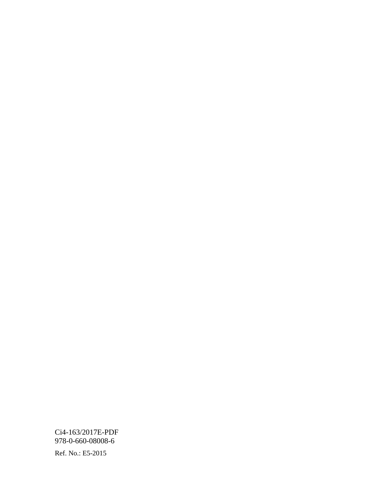Ci4-163/2017E-PDF 978-0-660-08008-6

Ref. No.: E5-2015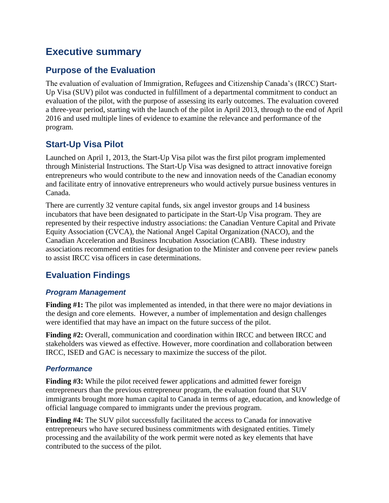## **Executive summary**

## **Purpose of the Evaluation**

The evaluation of evaluation of Immigration, Refugees and Citizenship Canada's (IRCC) Start-Up Visa (SUV) pilot was conducted in fulfillment of a departmental commitment to conduct an evaluation of the pilot, with the purpose of assessing its early outcomes. The evaluation covered a three-year period, starting with the launch of the pilot in April 2013, through to the end of April 2016 and used multiple lines of evidence to examine the relevance and performance of the program.

## **Start-Up Visa Pilot**

Launched on April 1, 2013, the Start-Up Visa pilot was the first pilot program implemented through Ministerial Instructions. The Start-Up Visa was designed to attract innovative foreign entrepreneurs who would contribute to the new and innovation needs of the Canadian economy and facilitate entry of innovative entrepreneurs who would actively pursue business ventures in Canada.

There are currently 32 venture capital funds, six angel investor groups and 14 business incubators that have been designated to participate in the Start-Up Visa program. They are represented by their respective industry associations: the Canadian Venture Capital and Private Equity Association (CVCA), the National Angel Capital Organization (NACO), and the Canadian Acceleration and Business Incubation Association (CABI). These industry associations recommend entities for designation to the Minister and convene peer review panels to assist IRCC visa officers in case determinations.

## **Evaluation Findings**

#### *Program Management*

**Finding #1:** The pilot was implemented as intended, in that there were no major deviations in the design and core elements. However, a number of implementation and design challenges were identified that may have an impact on the future success of the pilot.

**Finding #2:** Overall, communication and coordination within IRCC and between IRCC and stakeholders was viewed as effective. However, more coordination and collaboration between IRCC, ISED and GAC is necessary to maximize the success of the pilot.

#### *Performance*

**Finding #3:** While the pilot received fewer applications and admitted fewer foreign entrepreneurs than the previous entrepreneur program, the evaluation found that SUV immigrants brought more human capital to Canada in terms of age, education, and knowledge of official language compared to immigrants under the previous program.

**Finding #4:** The SUV pilot successfully facilitated the access to Canada for innovative entrepreneurs who have secured business commitments with designated entities. Timely processing and the availability of the work permit were noted as key elements that have contributed to the success of the pilot.